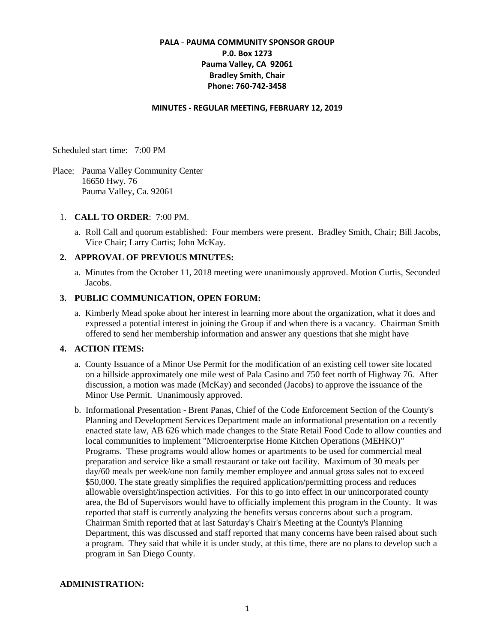# **PALA - PAUMA COMMUNITY SPONSOR GROUP P.0. Box 1273 Pauma Valley, CA 92061 Bradley Smith, Chair Phone: 760-742-3458**

#### **MINUTES - REGULAR MEETING, FEBRUARY 12, 2019**

Scheduled start time: 7:00 PM

Place: Pauma Valley Community Center 16650 Hwy. 76 Pauma Valley, Ca. 92061

### 1. **CALL TO ORDER**: 7:00 PM.

a. Roll Call and quorum established: Four members were present. Bradley Smith, Chair; Bill Jacobs, Vice Chair; Larry Curtis; John McKay.

## **2. APPROVAL OF PREVIOUS MINUTES:**

a. Minutes from the October 11, 2018 meeting were unanimously approved. Motion Curtis, Seconded Jacobs.

#### **3. PUBLIC COMMUNICATION, OPEN FORUM:**

a. Kimberly Mead spoke about her interest in learning more about the organization, what it does and expressed a potential interest in joining the Group if and when there is a vacancy. Chairman Smith offered to send her membership information and answer any questions that she might have

# **4. ACTION ITEMS:**

- a. County Issuance of a Minor Use Permit for the modification of an existing cell tower site located on a hillside approximately one mile west of Pala Casino and 750 feet north of Highway 76. After discussion, a motion was made (McKay) and seconded (Jacobs) to approve the issuance of the Minor Use Permit. Unanimously approved.
- b. Informational Presentation Brent Panas, Chief of the Code Enforcement Section of the County's Planning and Development Services Department made an informational presentation on a recently enacted state law, AB 626 which made changes to the State Retail Food Code to allow counties and local communities to implement "Microenterprise Home Kitchen Operations (MEHKO)" Programs. These programs would allow homes or apartments to be used for commercial meal preparation and service like a small restaurant or take out facility. Maximum of 30 meals per day/60 meals per week/one non family member employee and annual gross sales not to exceed \$50,000. The state greatly simplifies the required application/permitting process and reduces allowable oversight/inspection activities. For this to go into effect in our unincorporated county area, the Bd of Supervisors would have to officially implement this program in the County. It was reported that staff is currently analyzing the benefits versus concerns about such a program. Chairman Smith reported that at last Saturday's Chair's Meeting at the County's Planning Department, this was discussed and staff reported that many concerns have been raised about such a program. They said that while it is under study, at this time, there are no plans to develop such a program in San Diego County.

#### **ADMINISTRATION:**